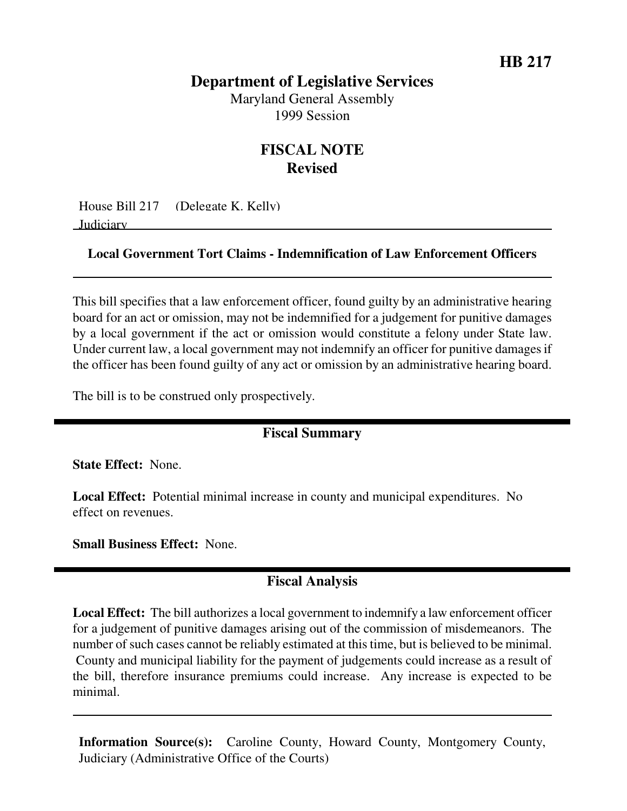# **Department of Legislative Services**

Maryland General Assembly 1999 Session

# **FISCAL NOTE Revised**

House Bill 217 (Delegate K. Kelly) Judiciary

#### **Local Government Tort Claims - Indemnification of Law Enforcement Officers**

This bill specifies that a law enforcement officer, found guilty by an administrative hearing board for an act or omission, may not be indemnified for a judgement for punitive damages by a local government if the act or omission would constitute a felony under State law. Under current law, a local government may not indemnify an officer for punitive damages if the officer has been found guilty of any act or omission by an administrative hearing board.

The bill is to be construed only prospectively.

## **Fiscal Summary**

**State Effect:** None.

**Local Effect:** Potential minimal increase in county and municipal expenditures. No effect on revenues.

**Small Business Effect:** None.

## **Fiscal Analysis**

**Local Effect:** The bill authorizes a local government to indemnify a law enforcement officer for a judgement of punitive damages arising out of the commission of misdemeanors. The number of such cases cannot be reliably estimated at this time, but is believed to be minimal. County and municipal liability for the payment of judgements could increase as a result of the bill, therefore insurance premiums could increase. Any increase is expected to be minimal.

**Information Source(s):** Caroline County, Howard County, Montgomery County, Judiciary (Administrative Office of the Courts)